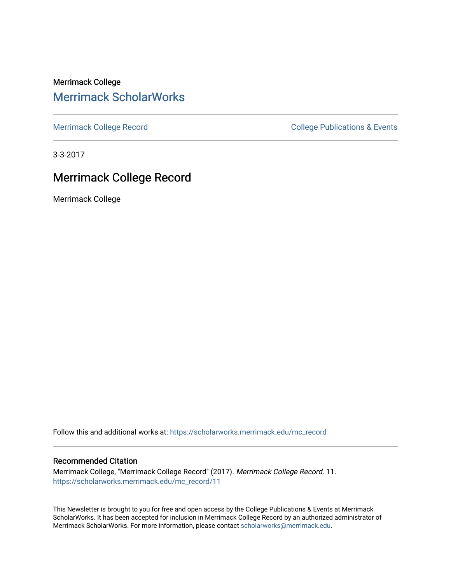Merrimack College [Merrimack ScholarWorks](https://scholarworks.merrimack.edu/) 

[Merrimack College Record](https://scholarworks.merrimack.edu/mc_record) **College Record** College Publications & Events

3-3-2017

#### Merrimack College Record

Merrimack College

Follow this and additional works at: [https://scholarworks.merrimack.edu/mc\\_record](https://scholarworks.merrimack.edu/mc_record?utm_source=scholarworks.merrimack.edu%2Fmc_record%2F11&utm_medium=PDF&utm_campaign=PDFCoverPages) 

#### Recommended Citation

Merrimack College, "Merrimack College Record" (2017). Merrimack College Record. 11. [https://scholarworks.merrimack.edu/mc\\_record/11](https://scholarworks.merrimack.edu/mc_record/11?utm_source=scholarworks.merrimack.edu%2Fmc_record%2F11&utm_medium=PDF&utm_campaign=PDFCoverPages)

This Newsletter is brought to you for free and open access by the College Publications & Events at Merrimack ScholarWorks. It has been accepted for inclusion in Merrimack College Record by an authorized administrator of Merrimack ScholarWorks. For more information, please contact [scholarworks@merrimack.edu](mailto:scholarworks@merrimack.edu).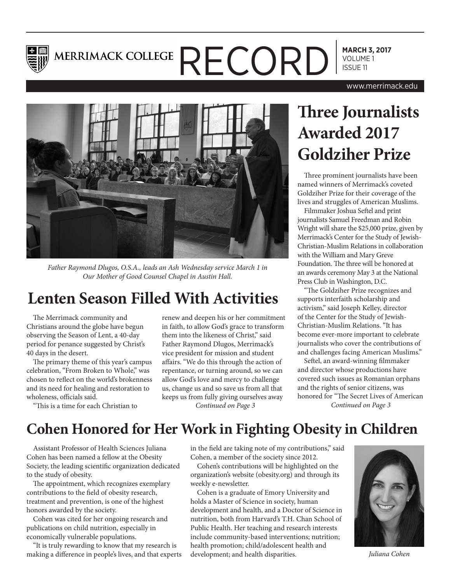

# **MARCH 3, 2017** MERRIMACK COLLEGE  $\mathsf{RECOP}$

www.merrimack.edu



*Father Raymond Dlugos, O.S.A., leads an Ash Wednesday service March 1 in Our Mother of Good Counsel Chapel in Austin Hall.*

### **Lenten Season Filled With Activities**

The Merrimack community and Christians around the globe have begun observing the Season of Lent, a 40-day period for penance suggested by Christ's 40 days in the desert.

The primary theme of this year's campus celebration, "From Broken to Whole," was chosen to reflect on the world's brokenness and its need for healing and restoration to wholeness, officials said.

"This is a time for each Christian to

renew and deepen his or her commitment in faith, to allow God's grace to transform them into the likeness of Christ," said Father Raymond Dlugos, Merrimack's vice president for mission and student affairs. "We do this through the action of repentance, or turning around, so we can allow God's love and mercy to challenge us, change us and so save us from all that keeps us from fully giving ourselves away

## **Three Journalists Awarded 2017 Goldziher Prize**

Three prominent journalists have been named winners of Merrimack's coveted Goldziher Prize for their coverage of the lives and struggles of American Muslims.

Filmmaker Joshua Seftel and print journalists Samuel Freedman and Robin Wright will share the \$25,000 prize, given by Merrimack's Center for the Study of Jewish-Christian-Muslim Relations in collaboration with the William and Mary Greve Foundation. The three will be honored at an awards ceremony May 3 at the National Press Club in Washington, D.C.

"The Goldziher Prize recognizes and supports interfaith scholarship and activism," said Joseph Kelley, director of the Center for the Study of Jewish-Christian-Muslim Relations. "It has become ever-more important to celebrate journalists who cover the contributions of and challenges facing American Muslims."

Seftel, an award-winning filmmaker and director whose productions have covered such issues as Romanian orphans and the rights of senior citizens, was honored for "The Secret Lives of American *Continued on Page 3 Continued on Page 3*

#### **Cohen Honored for Her Work in Fighting Obesity in Children**

Assistant Professor of Health Sciences Juliana Cohen has been named a fellow at the Obesity Society, the leading scientific organization dedicated to the study of obesity.

The appointment, which recognizes exemplary contributions to the field of obesity research, treatment and prevention, is one of the highest honors awarded by the society.

Cohen was cited for her ongoing research and publications on child nutrition, especially in economically vulnerable populations.

"It is truly rewarding to know that my research is making a difference in people's lives, and that experts in the field are taking note of my contributions," said Cohen, a member of the society since 2012.

Cohen's contributions will be highlighted on the organization's website (obesity.org) and through its weekly e-newsletter.

Cohen is a graduate of Emory University and holds a Master of Science in society, human development and health, and a Doctor of Science in nutrition, both from Harvard's T.H. Chan School of Public Health. Her teaching and research interests include community-based interventions; nutrition; health promotion; child/adolescent health and development; and health disparities.



*Juliana Cohen*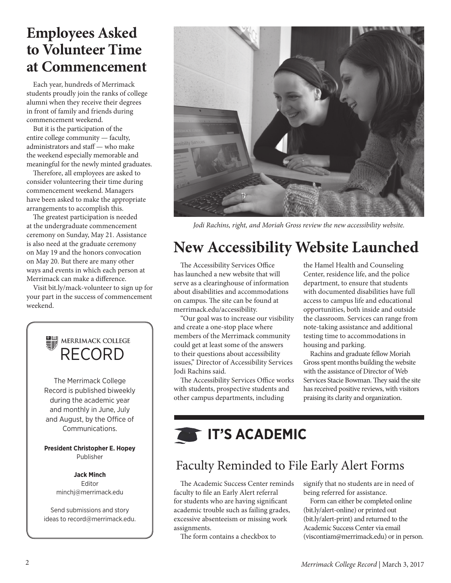## **Employees Asked to Volunteer Time at Commencement**

Each year, hundreds of Merrimack students proudly join the ranks of college alumni when they receive their degrees in front of family and friends during commencement weekend.

But it is the participation of the entire college community — faculty, administrators and staff — who make the weekend especially memorable and meaningful for the newly minted graduates.

Therefore, all employees are asked to consider volunteering their time during commencement weekend. Managers have been asked to make the appropriate arrangements to accomplish this.

The greatest participation is needed at the undergraduate commencement ceremony on Sunday, May 21. Assistance is also need at the graduate ceremony on May 19 and the honors convocation on May 20. But there are many other ways and events in which each person at Merrimack can make a difference.

Visit bit.ly/mack-volunteer to sign up for your part in the success of commencement weekend.





*Jodi Rachins, right, and Moriah Gross review the new accessibility website.*

## **New Accessibility Website Launched**

The Accessibility Services Office has launched a new website that will serve as a clearinghouse of information about disabilities and accommodations on campus. The site can be found at merrimack.edu/accessibility.

"Our goal was to increase our visibility and create a one-stop place where members of the Merrimack community could get at least some of the answers to their questions about accessibility issues," Director of Accessibility Services Jodi Rachins said.

The Accessibility Services Office works with students, prospective students and other campus departments, including

the Hamel Health and Counseling Center, residence life, and the police department, to ensure that students with documented disabilities have full access to campus life and educational opportunities, both inside and outside the classroom. Services can range from note-taking assistance and additional testing time to accommodations in housing and parking.

Rachins and graduate fellow Moriah Gross spent months building the website with the assistance of Director of Web Services Stacie Bowman. They said the site has received positive reviews, with visitors praising its clarity and organization.

## **IT'S ACADEMIC**

#### Faculty Reminded to File Early Alert Forms

The Academic Success Center reminds faculty to file an Early Alert referral for students who are having significant academic trouble such as failing grades, excessive absenteeism or missing work assignments.

The form contains a checkbox to

signify that no students are in need of being referred for assistance.

Form can either be completed online (bit.ly/alert-online) or printed out (bit.ly/alert-print) and returned to the Academic Success Center via email (viscontiam@merrimack.edu) or in person.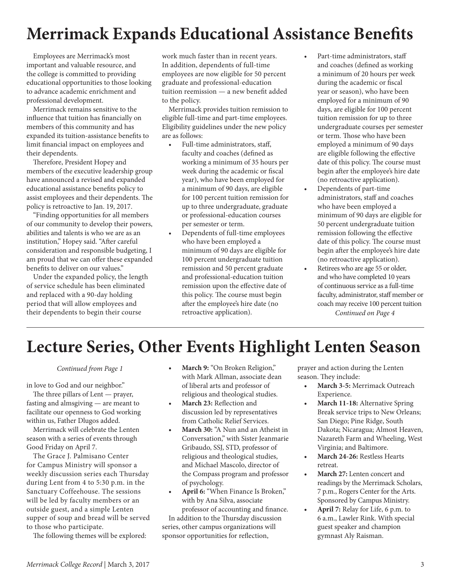## **Merrimack Expands Educational Assistance Benefits**

Employees are Merrimack's most important and valuable resource, and the college is committed to providing educational opportunities to those looking to advance academic enrichment and professional development.

Merrimack remains sensitive to the influence that tuition has financially on members of this community and has expanded its tuition-assistance benefits to limit financial impact on employees and their dependents.

Therefore, President Hopey and members of the executive leadership group have announced a revised and expanded educational assistance benefits policy to assist employees and their dependents. The policy is retroactive to Jan. 19, 2017.

"Finding opportunities for all members of our community to develop their powers, abilities and talents is who we are as an institution," Hopey said. "After careful consideration and responsible budgeting, I am proud that we can offer these expanded benefits to deliver on our values."

Under the expanded policy, the length of service schedule has been eliminated and replaced with a 90-day holding period that will allow employees and their dependents to begin their course

work much faster than in recent years. In addition, dependents of full-time employees are now eligible for 50 percent graduate and professional-education tuition reemission — a new benefit added to the policy.

Merrimack provides tuition remission to eligible full-time and part-time employees. Eligibility guidelines under the new policy are as follows:

- Full-time administrators, staff, faculty and coaches (defined as working a minimum of 35 hours per week during the academic or fiscal year), who have been employed for a minimum of 90 days, are eligible for 100 percent tuition remission for up to three undergraduate, graduate or professional-education courses per semester or term.
- Dependents of full-time employees who have been employed a minimum of 90 days are eligible for 100 percent undergraduate tuition remission and 50 percent graduate and professional-education tuition remission upon the effective date of this policy. The course must begin after the employee's hire date (no retroactive application).
- Part-time administrators, staff and coaches (defined as working a minimum of 20 hours per week during the academic or fiscal year or season), who have been employed for a minimum of 90 days, are eligible for 100 percent tuition remission for up to three undergraduate courses per semester or term. Those who have been employed a minimum of 90 days are eligible following the effective date of this policy. The course must begin after the employee's hire date (no retroactive application).
- Dependents of part-time administrators, staff and coaches who have been employed a minimum of 90 days are eligible for 50 percent undergraduate tuition remission following the effective date of this policy. The course must begin after the employee's hire date (no retroactive application).
- Retirees who are age 55 or older, and who have completed 10 years of continuous service as a full-time faculty, administrator, staff member or coach may receive 100 percent tuition *Continued on Page 4*

## **Lecture Series, Other Events Highlight Lenten Season**

*Continued from Page 1*

in love to God and our neighbor."

The three pillars of Lent — prayer, fasting and almsgiving — are meant to facilitate our openness to God working within us, Father Dlugos added.

Merrimack will celebrate the Lenten season with a series of events through Good Friday on April 7.

The Grace J. Palmisano Center for Campus Ministry will sponsor a weekly discussion series each Thursday during Lent from 4 to 5:30 p.m. in the Sanctuary Coffeehouse. The sessions will be led by faculty members or an outside guest, and a simple Lenten supper of soup and bread will be served to those who participate.

The following themes will be explored:

- **• March 9:** "On Broken Religion," with Mark Allman, associate dean of liberal arts and professor of religious and theological studies.
- **• March 23:** Reflection and discussion led by representatives from Catholic Relief Services.
- **• March 30:** "A Nun and an Atheist in Conversation," with Sister Jeanmarie Gribaudo, SSJ, STD, professor of religious and theological studies, and Michael Mascolo, director of the Compass program and professor of psychology.
- **• April 6:** "When Finance Is Broken," with by Ana Silva, associate professor of accounting and finance.

In addition to the Thursday discussion series, other campus organizations will sponsor opportunities for reflection,

prayer and action during the Lenten season. They include:

- **• March 3-5:** Merrimack Outreach Experience.
- **• March 11-18:** Alternative Spring Break service trips to New Orleans; San Diego; Pine Ridge, South Dakota; Nicaragua; Almost Heaven, Nazareth Farm and Wheeling, West Virginia; and Baltimore.
- **• March 24-26:** Restless Hearts retreat.
- **• March 27:** Lenten concert and readings by the Merrimack Scholars, 7 p.m., Rogers Center for the Arts. Sponsored by Campus Ministry.
- **• April 7:** Relay for Life, 6 p.m. to 6 a.m., Lawler Rink. With special guest speaker and champion gymnast Aly Raisman.